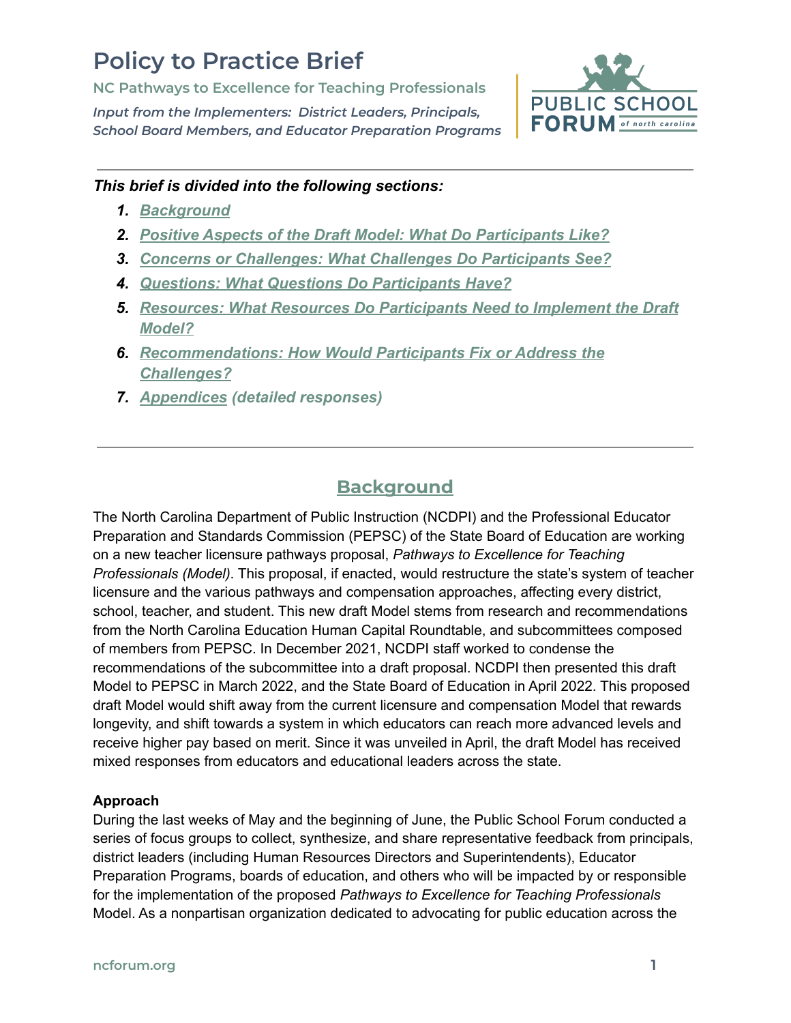# **Policy to Practice Brief**

**NC Pathways to Excellence for Teaching Professionals**

*Input from the Implementers: District Leaders, Principals, School Board Members, and Educator Preparation Programs*



## *This brief is divided into the following sections:*

- *1. [Background](#page-0-0)*
- *2. [Positive Aspects of the Draft Model: What Do Participants Like?](#page-2-0)*
- *3. [Concerns or Challenges: What Challenges Do Participants See?](#page-3-0)*
- *4. [Questions: What Questions Do Participants Have?](#page-5-0)*
- *5. [Resources: What Resources Do Participants Need to Implement the Draft](#page-9-0) [Model?](#page-9-0)*
- *6. [Recommendations: How Would Participants Fix or Address the](#page-11-0) [Challenges?](#page-11-0)*
- *7. [Appendices](https://www.ncforum.org/wp-content/uploads/2022/06/Appendices_-NC-Pathways-to-Excellence-for-Teaching-Professionals.pdf) (detailed responses)*

## **Background**

<span id="page-0-0"></span>The North Carolina Department of Public Instruction (NCDPI) and the Professional Educator Preparation and Standards Commission (PEPSC) of the State Board of Education are working on a new teacher licensure pathways proposal, *Pathways to Excellence for Teaching Professionals (Model)*. This proposal, if enacted, would restructure the state's system of teacher licensure and the various pathways and compensation approaches, affecting every district, school, teacher, and student. This new draft Model stems from research and recommendations from the North Carolina Education Human Capital Roundtable, and subcommittees composed of members from PEPSC. In December 2021, NCDPI staff worked to condense the recommendations of the subcommittee into a draft proposal. NCDPI then presented this draft Model to PEPSC in March 2022, and the State Board of Education in April 2022. This proposed draft Model would shift away from the current licensure and compensation Model that rewards longevity, and shift towards a system in which educators can reach more advanced levels and receive higher pay based on merit. Since it was unveiled in April, the draft Model has received mixed responses from educators and educational leaders across the state.

## **Approach**

During the last weeks of May and the beginning of June, the Public School Forum conducted a series of focus groups to collect, synthesize, and share representative feedback from principals, district leaders (including Human Resources Directors and Superintendents), Educator Preparation Programs, boards of education, and others who will be impacted by or responsible for the implementation of the proposed *Pathways to Excellence for Teaching Professionals* Model. As a nonpartisan organization dedicated to advocating for public education across the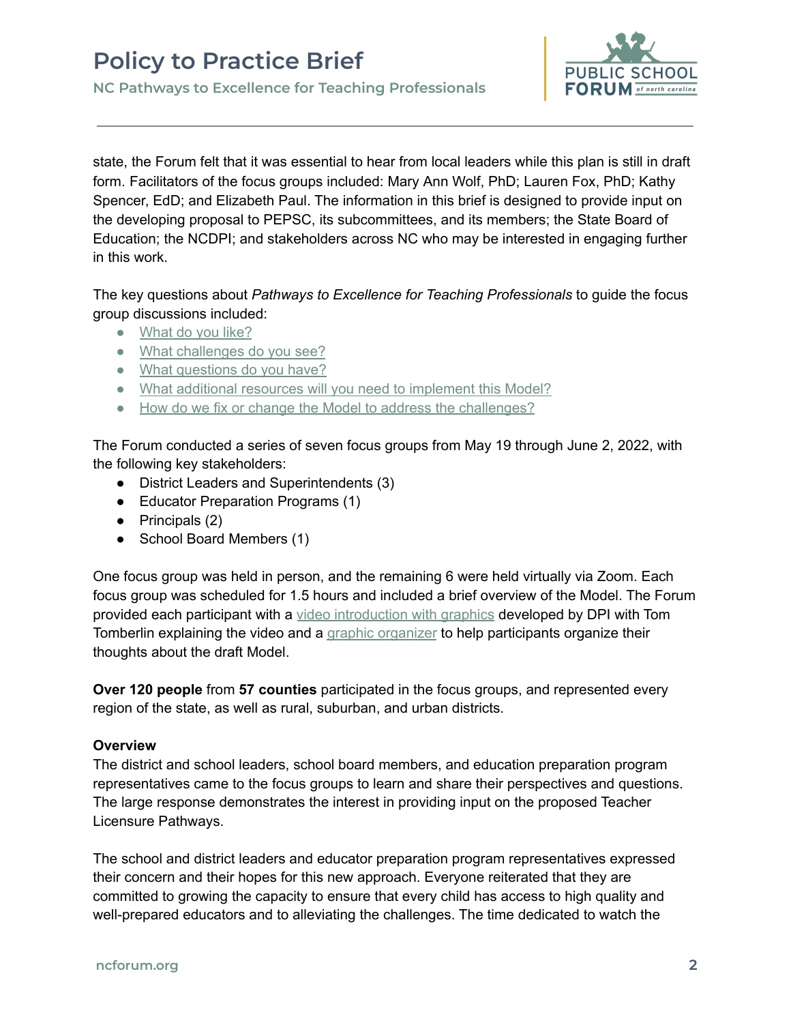

state, the Forum felt that it was essential to hear from local leaders while this plan is still in draft form. Facilitators of the focus groups included: Mary Ann Wolf, PhD; Lauren Fox, PhD; Kathy Spencer, EdD; and Elizabeth Paul. The information in this brief is designed to provide input on the developing proposal to PEPSC, its subcommittees, and its members; the State Board of Education; the NCDPI; and stakeholders across NC who may be interested in engaging further in this work.

The key questions about *Pathways to Excellence for Teaching Professionals* to guide the focus group discussions included:

- [What](#page-2-0) do you like?
- What [challenges](#page-3-0) do you see?
- What [questions](#page-5-0) do you have?
- What additional resources will you need to [implement](#page-9-0) this Model?
- How do we fix or change the Model to address the [challenges?](#page-11-0)

The Forum conducted a series of seven focus groups from May 19 through June 2, 2022, with the following key stakeholders:

- District Leaders and Superintendents (3)
- Educator Preparation Programs (1)
- $\bullet$  Principals (2)
- School Board Members (1)

One focus group was held in person, and the remaining 6 were held virtually via Zoom. Each focus group was scheduled for 1.5 hours and included a brief overview of the Model. The Forum provided each participant with a video [introduction](https://drive.google.com/file/d/1Ju7in6h8_c1fZcnBaroxk0-PML-rQ6gE/view?ts=627ec24b) with graphics developed by DPI with Tom Tomberlin explaining the video and a graphic [organizer](https://docs.google.com/document/d/1dBVzhWlBlMjjeyHiJqzZCXa77ykW8fNDkezOqk_67rI/copy?usp=sharing) to help participants organize their thoughts about the draft Model.

**Over 120 people** from **57 counties** participated in the focus groups, and represented every region of the state, as well as rural, suburban, and urban districts.

#### **Overview**

The district and school leaders, school board members, and education preparation program representatives came to the focus groups to learn and share their perspectives and questions. The large response demonstrates the interest in providing input on the proposed Teacher Licensure Pathways.

The school and district leaders and educator preparation program representatives expressed their concern and their hopes for this new approach. Everyone reiterated that they are committed to growing the capacity to ensure that every child has access to high quality and well-prepared educators and to alleviating the challenges. The time dedicated to watch the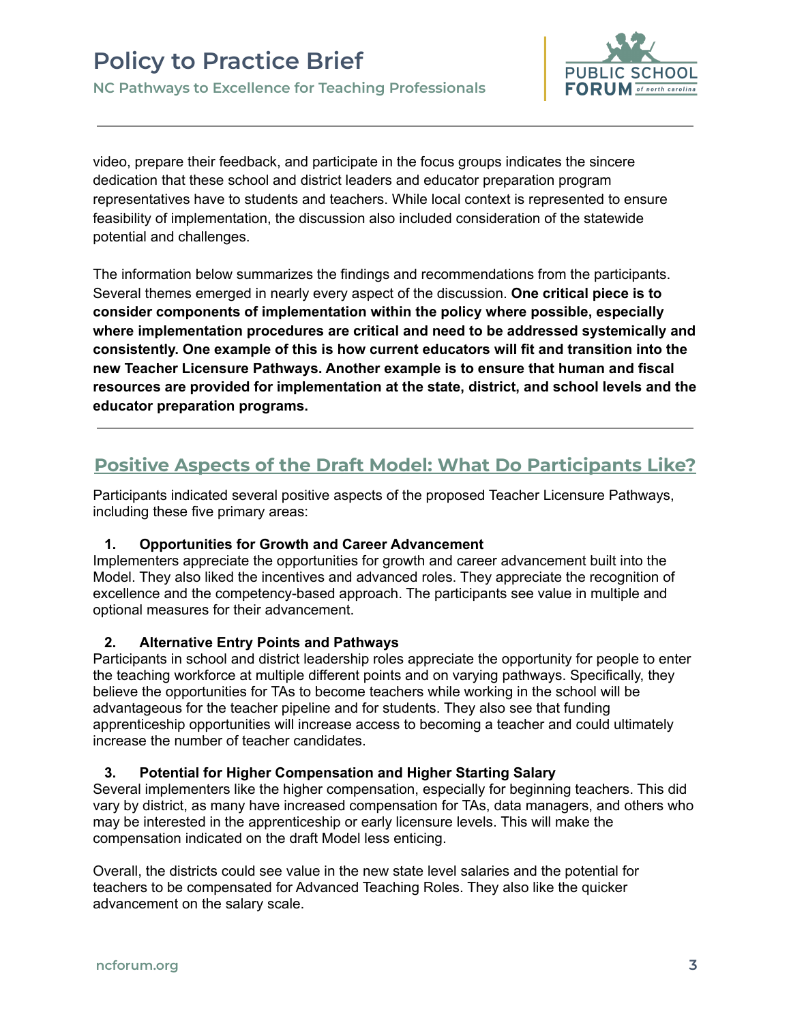

video, prepare their feedback, and participate in the focus groups indicates the sincere dedication that these school and district leaders and educator preparation program representatives have to students and teachers. While local context is represented to ensure feasibility of implementation, the discussion also included consideration of the statewide potential and challenges.

The information below summarizes the findings and recommendations from the participants. Several themes emerged in nearly every aspect of the discussion. **One critical piece is to consider components of implementation within the policy where possible, especially where implementation procedures are critical and need to be addressed systemically and consistently. One example of this is how current educators will fit and transition into the new Teacher Licensure Pathways. Another example is to ensure that human and fiscal resources are provided for implementation at the state, district, and school levels and the educator preparation programs.**

## <span id="page-2-0"></span>**Positive Aspects of the Draft Model: What Do Participants Like?**

Participants indicated several positive aspects of the proposed Teacher Licensure Pathways, including these five primary areas:

## **1. Opportunities for Growth and Career Advancement**

Implementers appreciate the opportunities for growth and career advancement built into the Model. They also liked the incentives and advanced roles. They appreciate the recognition of excellence and the competency-based approach. The participants see value in multiple and optional measures for their advancement.

#### **2. Alternative Entry Points and Pathways**

Participants in school and district leadership roles appreciate the opportunity for people to enter the teaching workforce at multiple different points and on varying pathways. Specifically, they believe the opportunities for TAs to become teachers while working in the school will be advantageous for the teacher pipeline and for students. They also see that funding apprenticeship opportunities will increase access to becoming a teacher and could ultimately increase the number of teacher candidates.

#### **3. Potential for Higher Compensation and Higher Starting Salary**

Several implementers like the higher compensation, especially for beginning teachers. This did vary by district, as many have increased compensation for TAs, data managers, and others who may be interested in the apprenticeship or early licensure levels. This will make the compensation indicated on the draft Model less enticing.

Overall, the districts could see value in the new state level salaries and the potential for teachers to be compensated for Advanced Teaching Roles. They also like the quicker advancement on the salary scale.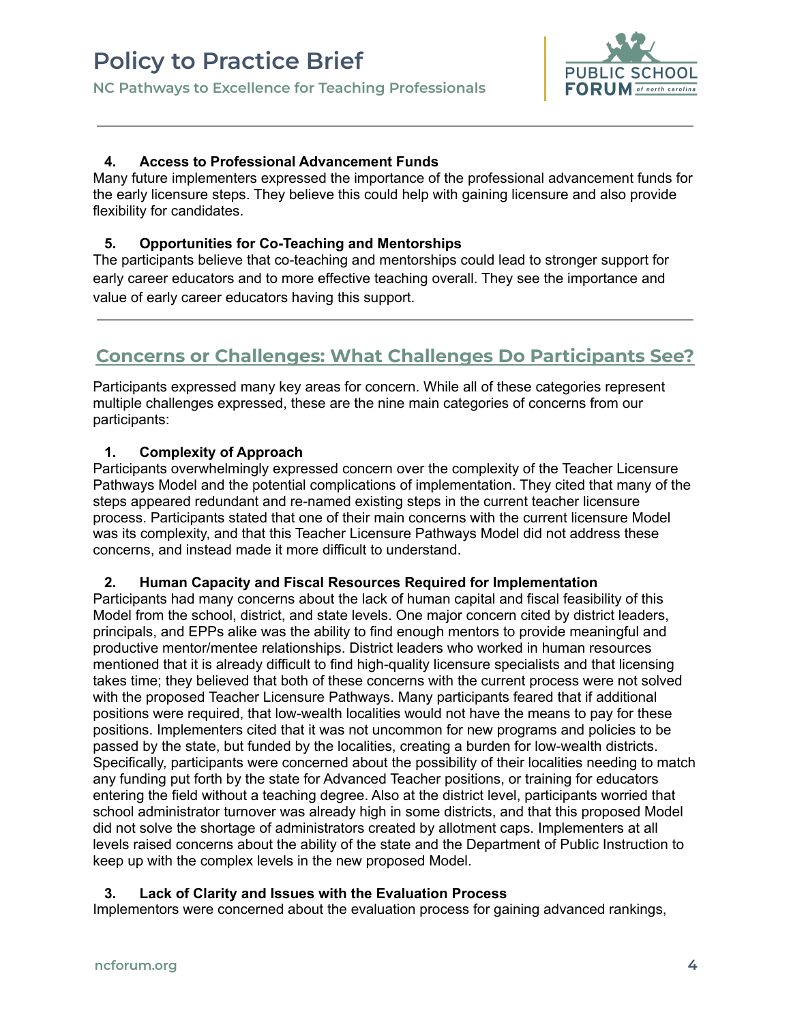

#### **4. Access to Professional Advancement Funds**

Many future implementers expressed the importance of the professional advancement funds for the early licensure steps. They believe this could help with gaining licensure and also provide flexibility for candidates.

#### **5. Opportunities for Co-Teaching and Mentorships**

The participants believe that co-teaching and mentorships could lead to stronger support for early career educators and to more effective teaching overall. They see the importance and value of early career educators having this support.

## <span id="page-3-0"></span>**Concerns or Challenges: What Challenges Do Participants See?**

Participants expressed many key areas for concern. While all of these categories represent multiple challenges expressed, these are the nine main categories of concerns from our participants:

#### **1. Complexity of Approach**

Participants overwhelmingly expressed concern over the complexity of the Teacher Licensure Pathways Model and the potential complications of implementation. They cited that many of the steps appeared redundant and re-named existing steps in the current teacher licensure process. Participants stated that one of their main concerns with the current licensure Model was its complexity, and that this Teacher Licensure Pathways Model did not address these concerns, and instead made it more difficult to understand.

## **2. Human Capacity and Fiscal Resources Required for Implementation**

Participants had many concerns about the lack of human capital and fiscal feasibility of this Model from the school, district, and state levels. One major concern cited by district leaders, principals, and EPPs alike was the ability to find enough mentors to provide meaningful and productive mentor/mentee relationships. District leaders who worked in human resources mentioned that it is already difficult to find high-quality licensure specialists and that licensing takes time; they believed that both of these concerns with the current process were not solved with the proposed Teacher Licensure Pathways. Many participants feared that if additional positions were required, that low-wealth localities would not have the means to pay for these positions. Implementers cited that it was not uncommon for new programs and policies to be passed by the state, but funded by the localities, creating a burden for low-wealth districts. Specifically, participants were concerned about the possibility of their localities needing to match any funding put forth by the state for Advanced Teacher positions, or training for educators entering the field without a teaching degree. Also at the district level, participants worried that school administrator turnover was already high in some districts, and that this proposed Model did not solve the shortage of administrators created by allotment caps. Implementers at all levels raised concerns about the ability of the state and the Department of Public Instruction to keep up with the complex levels in the new proposed Model.

#### **3. Lack of Clarity and Issues with the Evaluation Process**

Implementors were concerned about the evaluation process for gaining advanced rankings,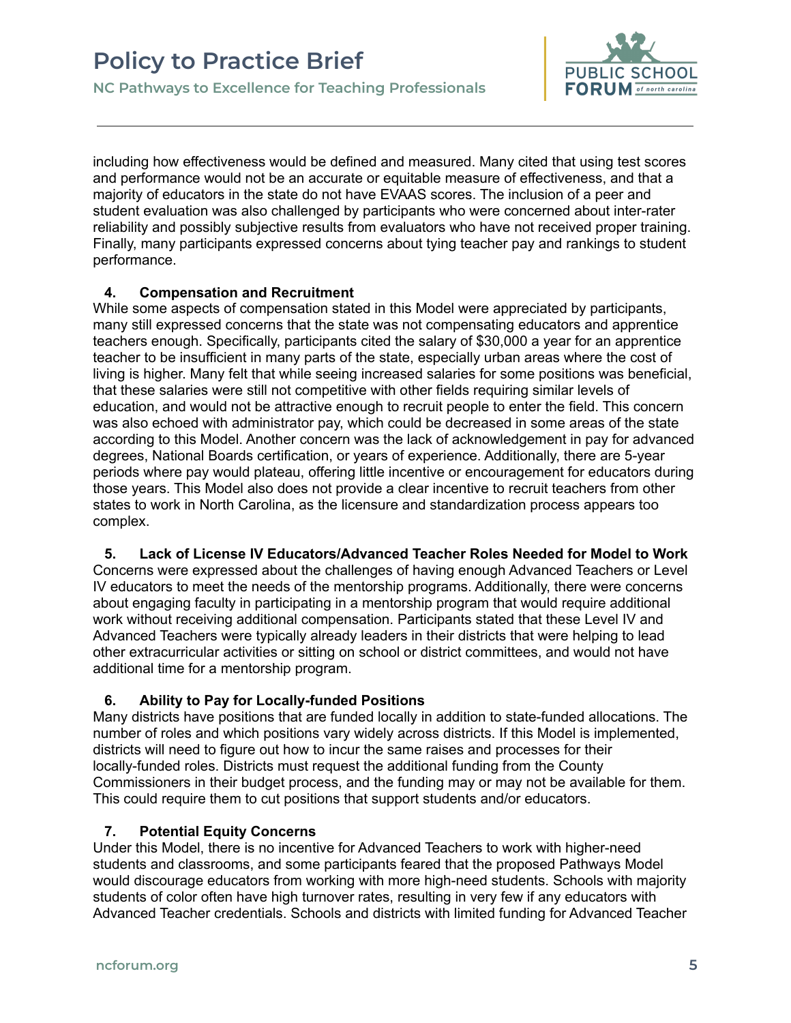

including how effectiveness would be defined and measured. Many cited that using test scores and performance would not be an accurate or equitable measure of effectiveness, and that a majority of educators in the state do not have EVAAS scores. The inclusion of a peer and student evaluation was also challenged by participants who were concerned about inter-rater reliability and possibly subjective results from evaluators who have not received proper training. Finally, many participants expressed concerns about tying teacher pay and rankings to student performance.

### **4. Compensation and Recruitment**

While some aspects of compensation stated in this Model were appreciated by participants, many still expressed concerns that the state was not compensating educators and apprentice teachers enough. Specifically, participants cited the salary of \$30,000 a year for an apprentice teacher to be insufficient in many parts of the state, especially urban areas where the cost of living is higher. Many felt that while seeing increased salaries for some positions was beneficial, that these salaries were still not competitive with other fields requiring similar levels of education, and would not be attractive enough to recruit people to enter the field. This concern was also echoed with administrator pay, which could be decreased in some areas of the state according to this Model. Another concern was the lack of acknowledgement in pay for advanced degrees, National Boards certification, or years of experience. Additionally, there are 5-year periods where pay would plateau, offering little incentive or encouragement for educators during those years. This Model also does not provide a clear incentive to recruit teachers from other states to work in North Carolina, as the licensure and standardization process appears too complex.

**5. Lack of License IV Educators/Advanced Teacher Roles Needed for Model to Work** Concerns were expressed about the challenges of having enough Advanced Teachers or Level IV educators to meet the needs of the mentorship programs. Additionally, there were concerns about engaging faculty in participating in a mentorship program that would require additional work without receiving additional compensation. Participants stated that these Level IV and Advanced Teachers were typically already leaders in their districts that were helping to lead other extracurricular activities or sitting on school or district committees, and would not have additional time for a mentorship program.

## **6. Ability to Pay for Locally-funded Positions**

Many districts have positions that are funded locally in addition to state-funded allocations. The number of roles and which positions vary widely across districts. If this Model is implemented, districts will need to figure out how to incur the same raises and processes for their locally-funded roles. Districts must request the additional funding from the County Commissioners in their budget process, and the funding may or may not be available for them. This could require them to cut positions that support students and/or educators.

## **7. Potential Equity Concerns**

Under this Model, there is no incentive for Advanced Teachers to work with higher-need students and classrooms, and some participants feared that the proposed Pathways Model would discourage educators from working with more high-need students. Schools with majority students of color often have high turnover rates, resulting in very few if any educators with Advanced Teacher credentials. Schools and districts with limited funding for Advanced Teacher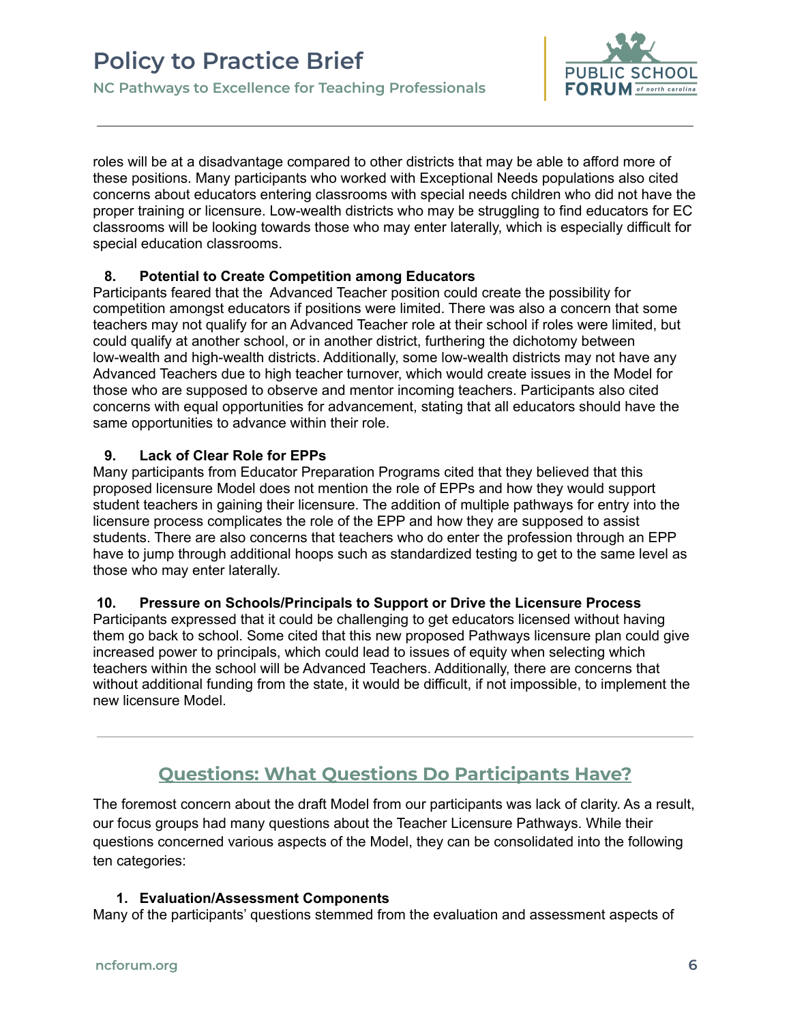

roles will be at a disadvantage compared to other districts that may be able to afford more of these positions. Many participants who worked with Exceptional Needs populations also cited concerns about educators entering classrooms with special needs children who did not have the proper training or licensure. Low-wealth districts who may be struggling to find educators for EC classrooms will be looking towards those who may enter laterally, which is especially difficult for special education classrooms.

### **8. Potential to Create Competition among Educators**

Participants feared that the Advanced Teacher position could create the possibility for competition amongst educators if positions were limited. There was also a concern that some teachers may not qualify for an Advanced Teacher role at their school if roles were limited, but could qualify at another school, or in another district, furthering the dichotomy between low-wealth and high-wealth districts. Additionally, some low-wealth districts may not have any Advanced Teachers due to high teacher turnover, which would create issues in the Model for those who are supposed to observe and mentor incoming teachers. Participants also cited concerns with equal opportunities for advancement, stating that all educators should have the same opportunities to advance within their role.

## **9. Lack of Clear Role for EPPs**

Many participants from Educator Preparation Programs cited that they believed that this proposed licensure Model does not mention the role of EPPs and how they would support student teachers in gaining their licensure. The addition of multiple pathways for entry into the licensure process complicates the role of the EPP and how they are supposed to assist students. There are also concerns that teachers who do enter the profession through an EPP have to jump through additional hoops such as standardized testing to get to the same level as those who may enter laterally.

## **10. Pressure on Schools/Principals to Support or Drive the Licensure Process**

Participants expressed that it could be challenging to get educators licensed without having them go back to school. Some cited that this new proposed Pathways licensure plan could give increased power to principals, which could lead to issues of equity when selecting which teachers within the school will be Advanced Teachers. Additionally, there are concerns that without additional funding from the state, it would be difficult, if not impossible, to implement the new licensure Model.

## **Questions: What Questions Do Participants Have?**

<span id="page-5-0"></span>The foremost concern about the draft Model from our participants was lack of clarity. As a result, our focus groups had many questions about the Teacher Licensure Pathways. While their questions concerned various aspects of the Model, they can be consolidated into the following ten categories:

## **1. Evaluation/Assessment Components**

Many of the participants' questions stemmed from the evaluation and assessment aspects of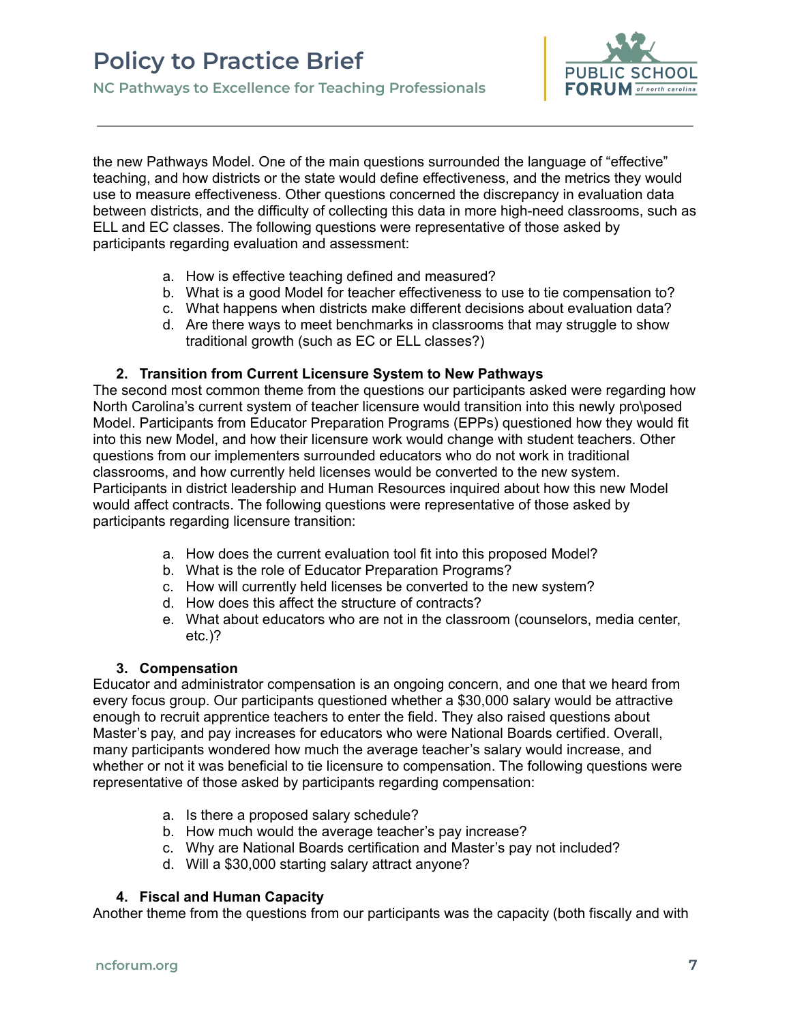

the new Pathways Model. One of the main questions surrounded the language of "effective" teaching, and how districts or the state would define effectiveness, and the metrics they would use to measure effectiveness. Other questions concerned the discrepancy in evaluation data between districts, and the difficulty of collecting this data in more high-need classrooms, such as ELL and EC classes. The following questions were representative of those asked by participants regarding evaluation and assessment:

- a. How is effective teaching defined and measured?
- b. What is a good Model for teacher effectiveness to use to tie compensation to?
- c. What happens when districts make different decisions about evaluation data?
- d. Are there ways to meet benchmarks in classrooms that may struggle to show traditional growth (such as EC or ELL classes?)

#### **2. Transition from Current Licensure System to New Pathways**

The second most common theme from the questions our participants asked were regarding how North Carolina's current system of teacher licensure would transition into this newly pro\posed Model. Participants from Educator Preparation Programs (EPPs) questioned how they would fit into this new Model, and how their licensure work would change with student teachers. Other questions from our implementers surrounded educators who do not work in traditional classrooms, and how currently held licenses would be converted to the new system. Participants in district leadership and Human Resources inquired about how this new Model would affect contracts. The following questions were representative of those asked by participants regarding licensure transition:

- a. How does the current evaluation tool fit into this proposed Model?
- b. What is the role of Educator Preparation Programs?
- c. How will currently held licenses be converted to the new system?
- d. How does this affect the structure of contracts?
- e. What about educators who are not in the classroom (counselors, media center, etc.)?

#### **3. Compensation**

Educator and administrator compensation is an ongoing concern, and one that we heard from every focus group. Our participants questioned whether a \$30,000 salary would be attractive enough to recruit apprentice teachers to enter the field. They also raised questions about Master's pay, and pay increases for educators who were National Boards certified. Overall, many participants wondered how much the average teacher's salary would increase, and whether or not it was beneficial to tie licensure to compensation. The following questions were representative of those asked by participants regarding compensation:

- a. Is there a proposed salary schedule?
- b. How much would the average teacher's pay increase?
- c. Why are National Boards certification and Master's pay not included?
- d. Will a \$30,000 starting salary attract anyone?

#### **4. Fiscal and Human Capacity**

Another theme from the questions from our participants was the capacity (both fiscally and with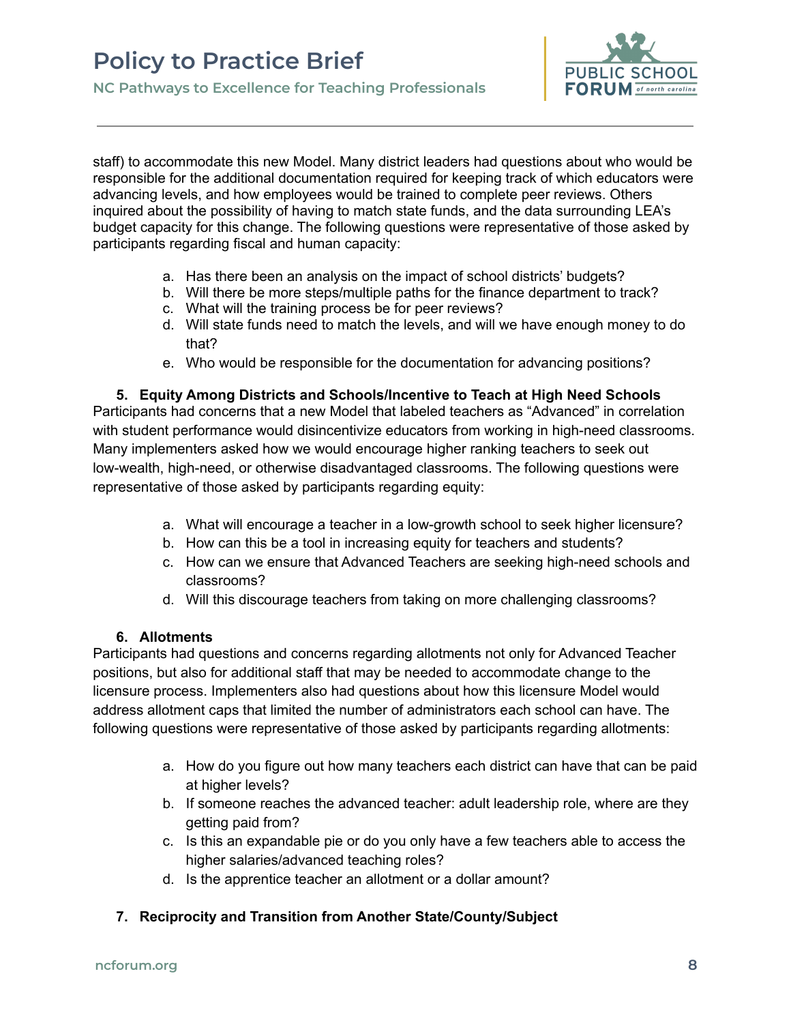

staff) to accommodate this new Model. Many district leaders had questions about who would be responsible for the additional documentation required for keeping track of which educators were advancing levels, and how employees would be trained to complete peer reviews. Others inquired about the possibility of having to match state funds, and the data surrounding LEA's budget capacity for this change. The following questions were representative of those asked by participants regarding fiscal and human capacity:

- a. Has there been an analysis on the impact of school districts' budgets?
- b. Will there be more steps/multiple paths for the finance department to track?
- c. What will the training process be for peer reviews?
- d. Will state funds need to match the levels, and will we have enough money to do that?
- e. Who would be responsible for the documentation for advancing positions?

#### **5. Equity Among Districts and Schools/Incentive to Teach at High Need Schools**

Participants had concerns that a new Model that labeled teachers as "Advanced" in correlation with student performance would disincentivize educators from working in high-need classrooms. Many implementers asked how we would encourage higher ranking teachers to seek out low-wealth, high-need, or otherwise disadvantaged classrooms. The following questions were representative of those asked by participants regarding equity:

- a. What will encourage a teacher in a low-growth school to seek higher licensure?
- b. How can this be a tool in increasing equity for teachers and students?
- c. How can we ensure that Advanced Teachers are seeking high-need schools and classrooms?
- d. Will this discourage teachers from taking on more challenging classrooms?

#### **6. Allotments**

Participants had questions and concerns regarding allotments not only for Advanced Teacher positions, but also for additional staff that may be needed to accommodate change to the licensure process. Implementers also had questions about how this licensure Model would address allotment caps that limited the number of administrators each school can have. The following questions were representative of those asked by participants regarding allotments:

- a. How do you figure out how many teachers each district can have that can be paid at higher levels?
- b. If someone reaches the advanced teacher: adult leadership role, where are they getting paid from?
- c. Is this an expandable pie or do you only have a few teachers able to access the higher salaries/advanced teaching roles?
- d. Is the apprentice teacher an allotment or a dollar amount?

## **7. Reciprocity and Transition from Another State/County/Subject**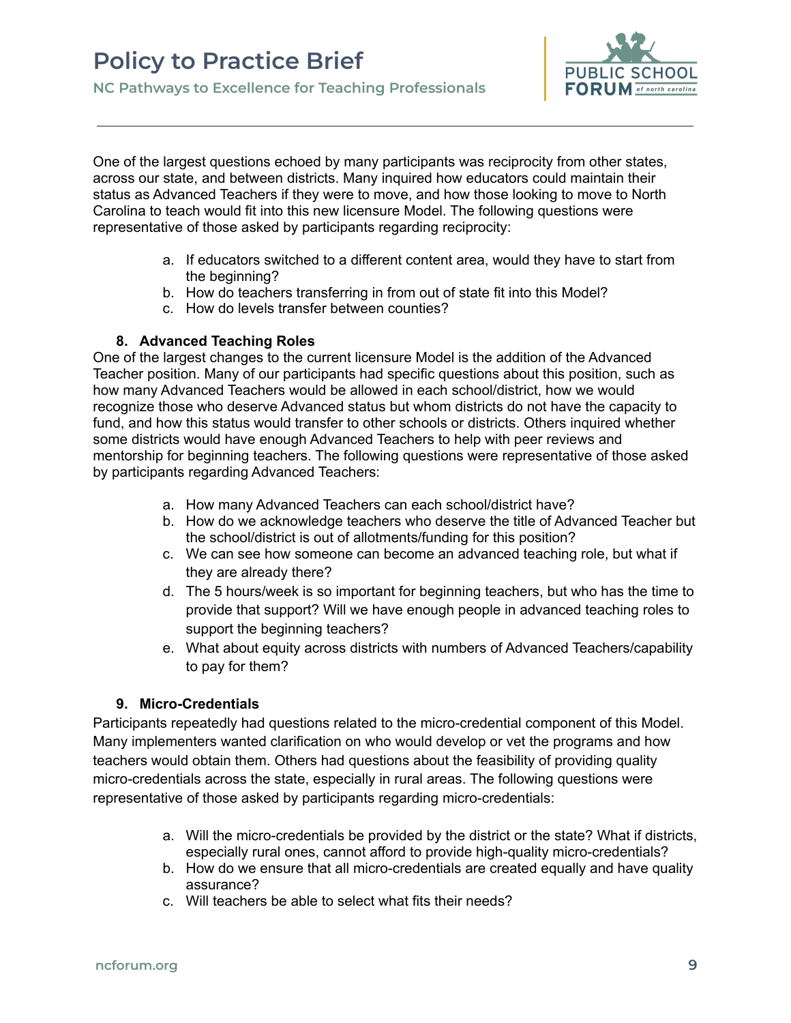

One of the largest questions echoed by many participants was reciprocity from other states, across our state, and between districts. Many inquired how educators could maintain their status as Advanced Teachers if they were to move, and how those looking to move to North Carolina to teach would fit into this new licensure Model. The following questions were representative of those asked by participants regarding reciprocity:

- a. If educators switched to a different content area, would they have to start from the beginning?
- b. How do teachers transferring in from out of state fit into this Model?
- c. How do levels transfer between counties?

#### **8. Advanced Teaching Roles**

One of the largest changes to the current licensure Model is the addition of the Advanced Teacher position. Many of our participants had specific questions about this position, such as how many Advanced Teachers would be allowed in each school/district, how we would recognize those who deserve Advanced status but whom districts do not have the capacity to fund, and how this status would transfer to other schools or districts. Others inquired whether some districts would have enough Advanced Teachers to help with peer reviews and mentorship for beginning teachers. The following questions were representative of those asked by participants regarding Advanced Teachers:

- a. How many Advanced Teachers can each school/district have?
- b. How do we acknowledge teachers who deserve the title of Advanced Teacher but the school/district is out of allotments/funding for this position?
- c. We can see how someone can become an advanced teaching role, but what if they are already there?
- d. The 5 hours/week is so important for beginning teachers, but who has the time to provide that support? Will we have enough people in advanced teaching roles to support the beginning teachers?
- e. What about equity across districts with numbers of Advanced Teachers/capability to pay for them?

#### **9. Micro-Credentials**

Participants repeatedly had questions related to the micro-credential component of this Model. Many implementers wanted clarification on who would develop or vet the programs and how teachers would obtain them. Others had questions about the feasibility of providing quality micro-credentials across the state, especially in rural areas. The following questions were representative of those asked by participants regarding micro-credentials:

- a. Will the micro-credentials be provided by the district or the state? What if districts, especially rural ones, cannot afford to provide high-quality micro-credentials?
- b. How do we ensure that all micro-credentials are created equally and have quality assurance?
- c. Will teachers be able to select what fits their needs?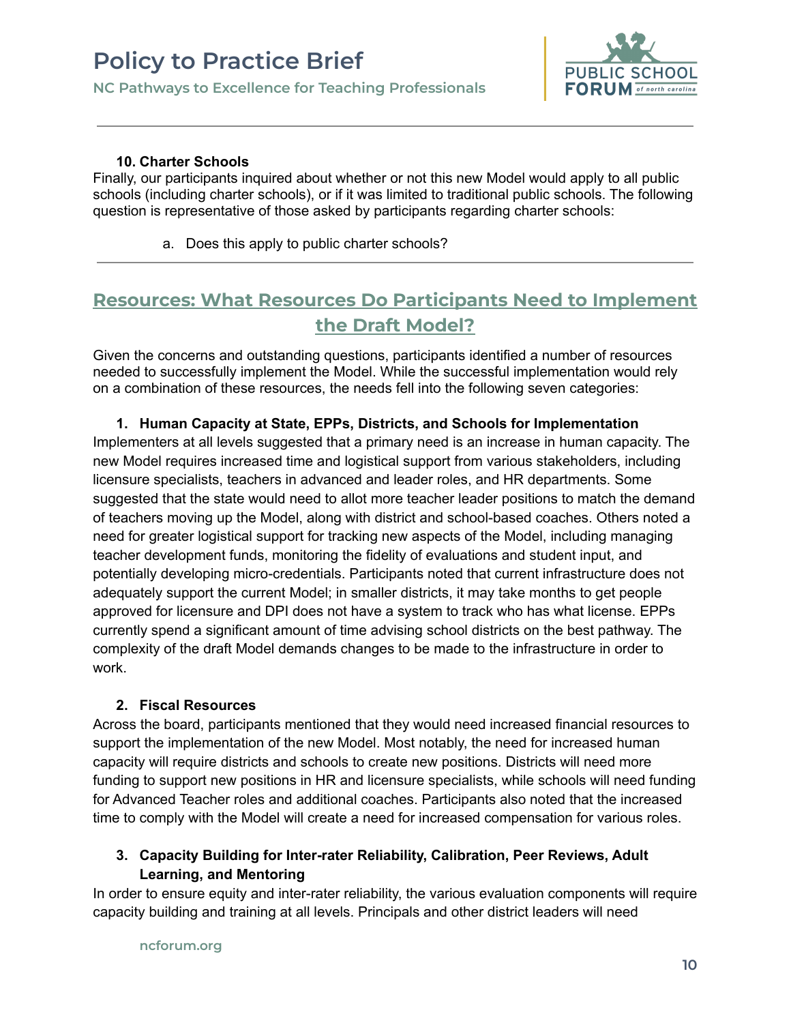

### **10. Charter Schools**

Finally, our participants inquired about whether or not this new Model would apply to all public schools (including charter schools), or if it was limited to traditional public schools. The following question is representative of those asked by participants regarding charter schools:

a. Does this apply to public charter schools?

## <span id="page-9-0"></span>**Resources: What Resources Do Participants Need to Implement the Draft Model?**

Given the concerns and outstanding questions, participants identified a number of resources needed to successfully implement the Model. While the successful implementation would rely on a combination of these resources, the needs fell into the following seven categories:

### **1. Human Capacity at State, EPPs, Districts, and Schools for Implementation**

Implementers at all levels suggested that a primary need is an increase in human capacity. The new Model requires increased time and logistical support from various stakeholders, including licensure specialists, teachers in advanced and leader roles, and HR departments. Some suggested that the state would need to allot more teacher leader positions to match the demand of teachers moving up the Model, along with district and school-based coaches. Others noted a need for greater logistical support for tracking new aspects of the Model, including managing teacher development funds, monitoring the fidelity of evaluations and student input, and potentially developing micro-credentials. Participants noted that current infrastructure does not adequately support the current Model; in smaller districts, it may take months to get people approved for licensure and DPI does not have a system to track who has what license. EPPs currently spend a significant amount of time advising school districts on the best pathway. The complexity of the draft Model demands changes to be made to the infrastructure in order to work.

#### **2. Fiscal Resources**

Across the board, participants mentioned that they would need increased financial resources to support the implementation of the new Model. Most notably, the need for increased human capacity will require districts and schools to create new positions. Districts will need more funding to support new positions in HR and licensure specialists, while schools will need funding for Advanced Teacher roles and additional coaches. Participants also noted that the increased time to comply with the Model will create a need for increased compensation for various roles.

## **3. Capacity Building for Inter-rater Reliability, Calibration, Peer Reviews, Adult Learning, and Mentoring**

In order to ensure equity and inter-rater reliability, the various evaluation components will require capacity building and training at all levels. Principals and other district leaders will need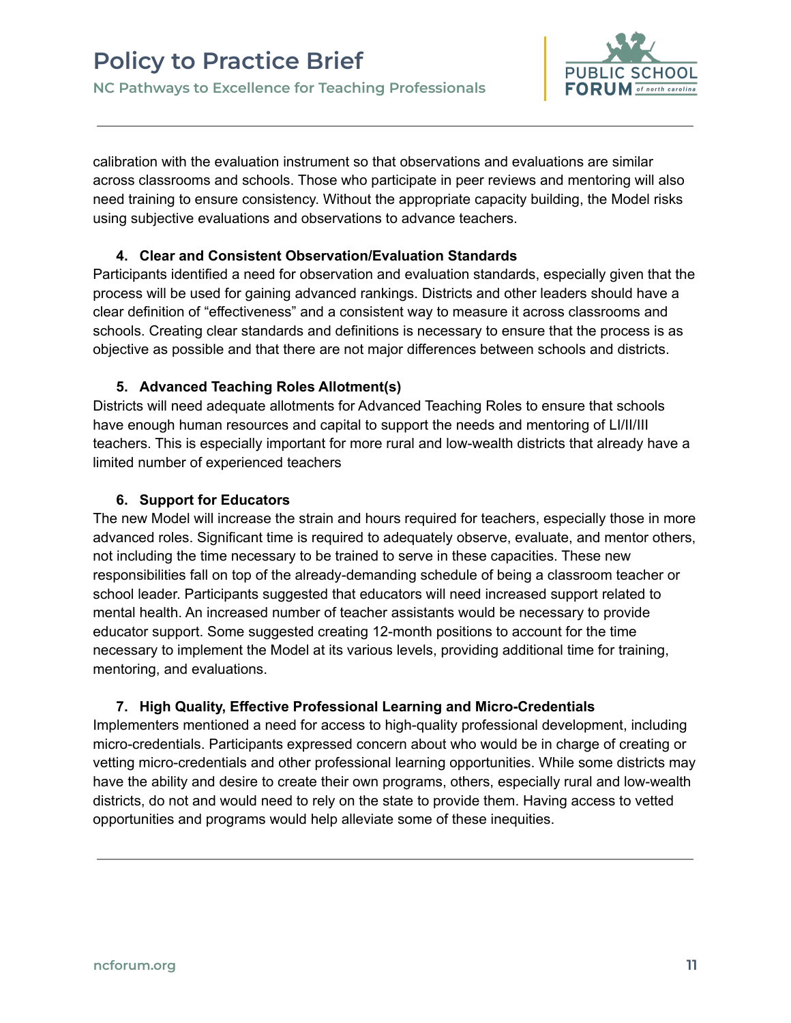

calibration with the evaluation instrument so that observations and evaluations are similar across classrooms and schools. Those who participate in peer reviews and mentoring will also need training to ensure consistency. Without the appropriate capacity building, the Model risks using subjective evaluations and observations to advance teachers.

### **4. Clear and Consistent Observation/Evaluation Standards**

Participants identified a need for observation and evaluation standards, especially given that the process will be used for gaining advanced rankings. Districts and other leaders should have a clear definition of "effectiveness" and a consistent way to measure it across classrooms and schools. Creating clear standards and definitions is necessary to ensure that the process is as objective as possible and that there are not major differences between schools and districts.

## **5. Advanced Teaching Roles Allotment(s)**

Districts will need adequate allotments for Advanced Teaching Roles to ensure that schools have enough human resources and capital to support the needs and mentoring of LI/II/III teachers. This is especially important for more rural and low-wealth districts that already have a limited number of experienced teachers

## **6. Support for Educators**

The new Model will increase the strain and hours required for teachers, especially those in more advanced roles. Significant time is required to adequately observe, evaluate, and mentor others, not including the time necessary to be trained to serve in these capacities. These new responsibilities fall on top of the already-demanding schedule of being a classroom teacher or school leader. Participants suggested that educators will need increased support related to mental health. An increased number of teacher assistants would be necessary to provide educator support. Some suggested creating 12-month positions to account for the time necessary to implement the Model at its various levels, providing additional time for training, mentoring, and evaluations.

## **7. High Quality, Effective Professional Learning and Micro-Credentials**

Implementers mentioned a need for access to high-quality professional development, including micro-credentials. Participants expressed concern about who would be in charge of creating or vetting micro-credentials and other professional learning opportunities. While some districts may have the ability and desire to create their own programs, others, especially rural and low-wealth districts, do not and would need to rely on the state to provide them. Having access to vetted opportunities and programs would help alleviate some of these inequities.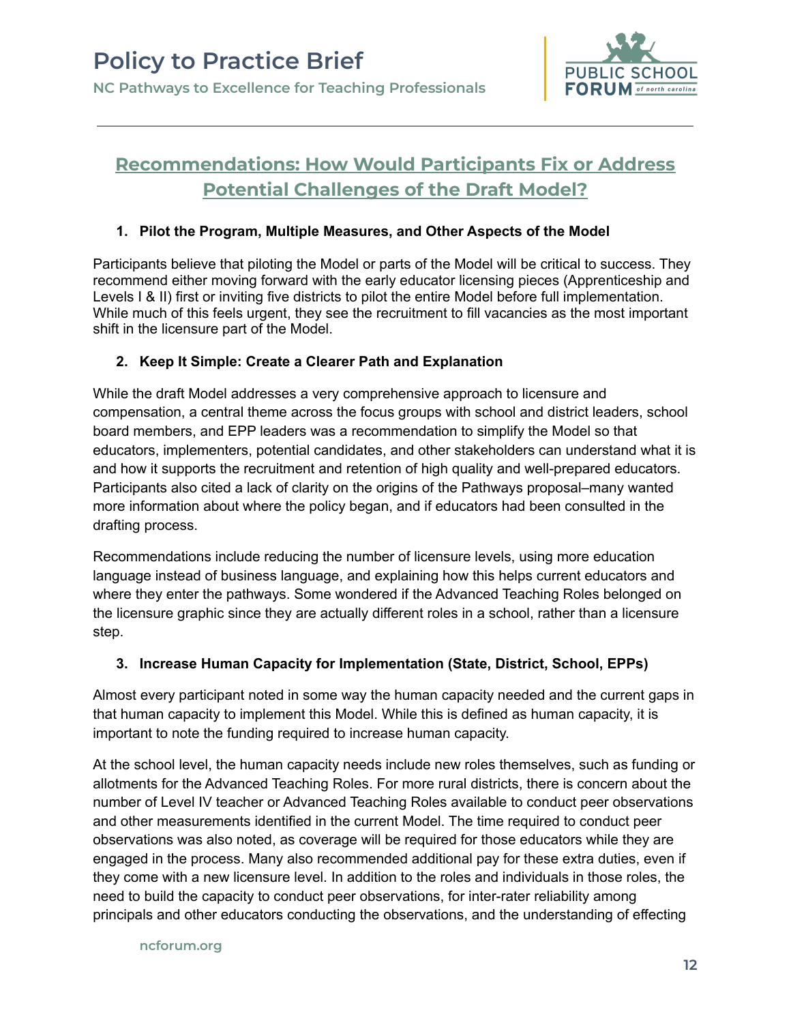

## <span id="page-11-0"></span>**Recommendations: How Would Participants Fix or Address Potential Challenges of the Draft Model?**

## **1. Pilot the Program, Multiple Measures, and Other Aspects of the Model**

Participants believe that piloting the Model or parts of the Model will be critical to success. They recommend either moving forward with the early educator licensing pieces (Apprenticeship and Levels I & II) first or inviting five districts to pilot the entire Model before full implementation. While much of this feels urgent, they see the recruitment to fill vacancies as the most important shift in the licensure part of the Model.

## **2. Keep It Simple: Create a Clearer Path and Explanation**

While the draft Model addresses a very comprehensive approach to licensure and compensation, a central theme across the focus groups with school and district leaders, school board members, and EPP leaders was a recommendation to simplify the Model so that educators, implementers, potential candidates, and other stakeholders can understand what it is and how it supports the recruitment and retention of high quality and well-prepared educators. Participants also cited a lack of clarity on the origins of the Pathways proposal–many wanted more information about where the policy began, and if educators had been consulted in the drafting process.

Recommendations include reducing the number of licensure levels, using more education language instead of business language, and explaining how this helps current educators and where they enter the pathways. Some wondered if the Advanced Teaching Roles belonged on the licensure graphic since they are actually different roles in a school, rather than a licensure step.

## **3. Increase Human Capacity for Implementation (State, District, School, EPPs)**

Almost every participant noted in some way the human capacity needed and the current gaps in that human capacity to implement this Model. While this is defined as human capacity, it is important to note the funding required to increase human capacity.

At the school level, the human capacity needs include new roles themselves, such as funding or allotments for the Advanced Teaching Roles. For more rural districts, there is concern about the number of Level IV teacher or Advanced Teaching Roles available to conduct peer observations and other measurements identified in the current Model. The time required to conduct peer observations was also noted, as coverage will be required for those educators while they are engaged in the process. Many also recommended additional pay for these extra duties, even if they come with a new licensure level. In addition to the roles and individuals in those roles, the need to build the capacity to conduct peer observations, for inter-rater reliability among principals and other educators conducting the observations, and the understanding of effecting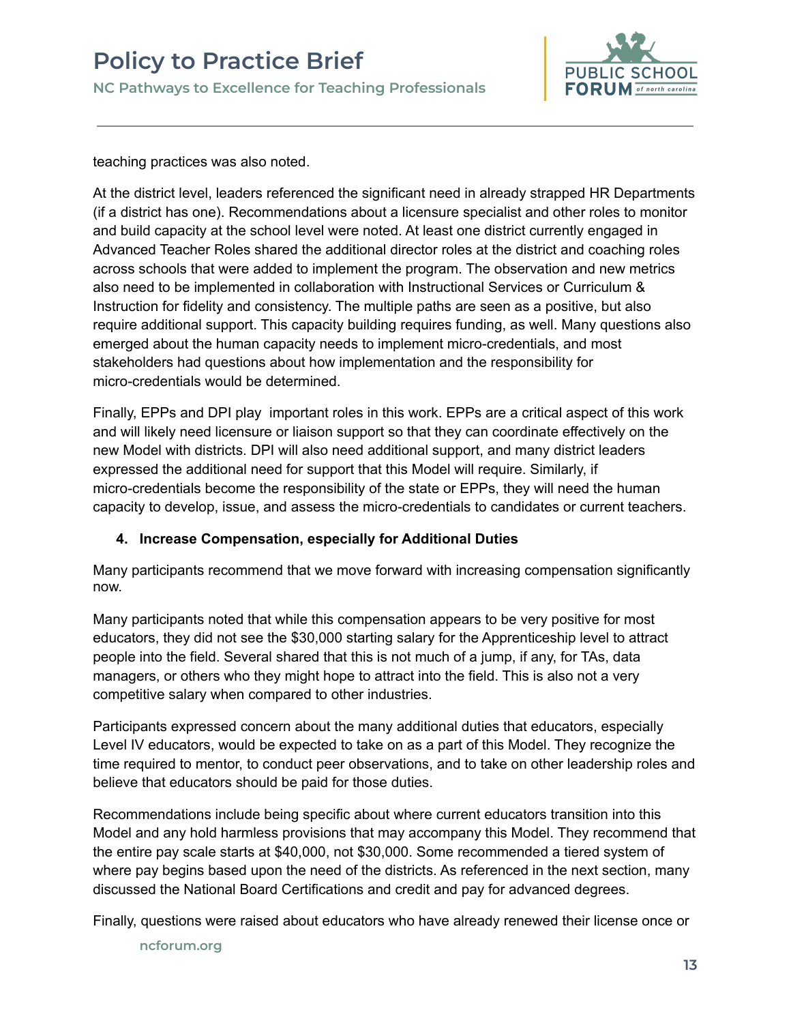

teaching practices was also noted.

At the district level, leaders referenced the significant need in already strapped HR Departments (if a district has one). Recommendations about a licensure specialist and other roles to monitor and build capacity at the school level were noted. At least one district currently engaged in Advanced Teacher Roles shared the additional director roles at the district and coaching roles across schools that were added to implement the program. The observation and new metrics also need to be implemented in collaboration with Instructional Services or Curriculum & Instruction for fidelity and consistency. The multiple paths are seen as a positive, but also require additional support. This capacity building requires funding, as well. Many questions also emerged about the human capacity needs to implement micro-credentials, and most stakeholders had questions about how implementation and the responsibility for micro-credentials would be determined.

Finally, EPPs and DPI play important roles in this work. EPPs are a critical aspect of this work and will likely need licensure or liaison support so that they can coordinate effectively on the new Model with districts. DPI will also need additional support, and many district leaders expressed the additional need for support that this Model will require. Similarly, if micro-credentials become the responsibility of the state or EPPs, they will need the human capacity to develop, issue, and assess the micro-credentials to candidates or current teachers.

## **4. Increase Compensation, especially for Additional Duties**

Many participants recommend that we move forward with increasing compensation significantly now.

Many participants noted that while this compensation appears to be very positive for most educators, they did not see the \$30,000 starting salary for the Apprenticeship level to attract people into the field. Several shared that this is not much of a jump, if any, for TAs, data managers, or others who they might hope to attract into the field. This is also not a very competitive salary when compared to other industries.

Participants expressed concern about the many additional duties that educators, especially Level IV educators, would be expected to take on as a part of this Model. They recognize the time required to mentor, to conduct peer observations, and to take on other leadership roles and believe that educators should be paid for those duties.

Recommendations include being specific about where current educators transition into this Model and any hold harmless provisions that may accompany this Model. They recommend that the entire pay scale starts at \$40,000, not \$30,000. Some recommended a tiered system of where pay begins based upon the need of the districts. As referenced in the next section, many discussed the National Board Certifications and credit and pay for advanced degrees.

Finally, questions were raised about educators who have already renewed their license once or

**ncforum.org**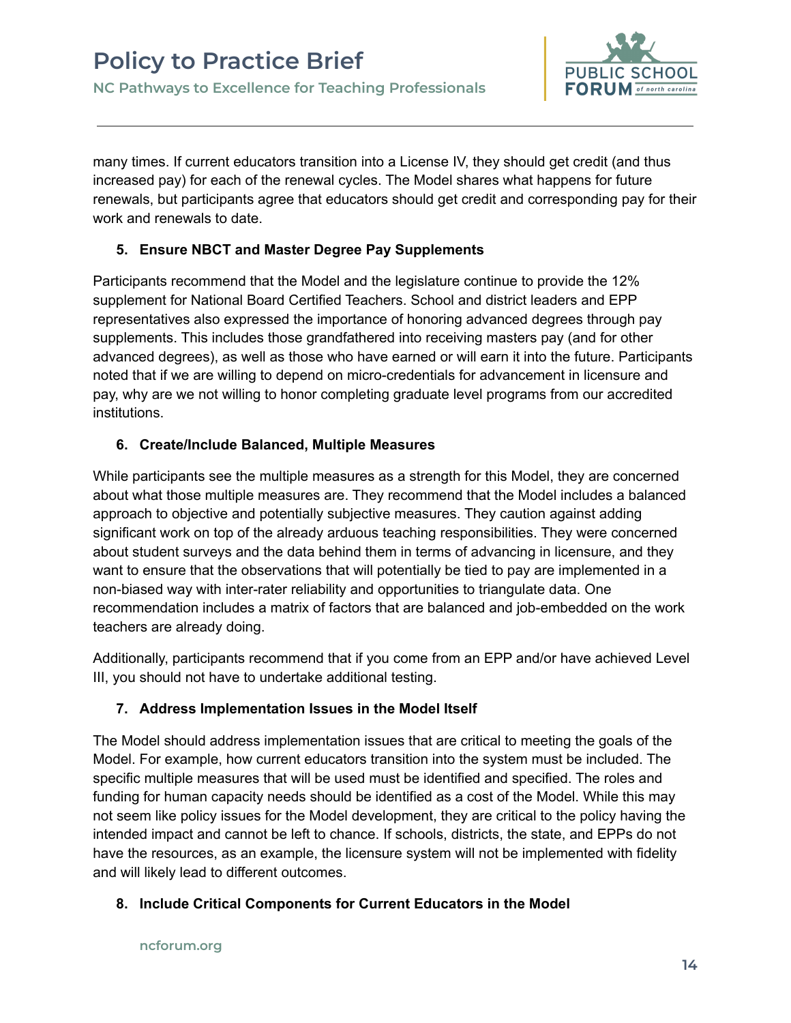

many times. If current educators transition into a License IV, they should get credit (and thus increased pay) for each of the renewal cycles. The Model shares what happens for future renewals, but participants agree that educators should get credit and corresponding pay for their work and renewals to date.

## **5. Ensure NBCT and Master Degree Pay Supplements**

Participants recommend that the Model and the legislature continue to provide the 12% supplement for National Board Certified Teachers. School and district leaders and EPP representatives also expressed the importance of honoring advanced degrees through pay supplements. This includes those grandfathered into receiving masters pay (and for other advanced degrees), as well as those who have earned or will earn it into the future. Participants noted that if we are willing to depend on micro-credentials for advancement in licensure and pay, why are we not willing to honor completing graduate level programs from our accredited institutions.

## **6. Create/Include Balanced, Multiple Measures**

While participants see the multiple measures as a strength for this Model, they are concerned about what those multiple measures are. They recommend that the Model includes a balanced approach to objective and potentially subjective measures. They caution against adding significant work on top of the already arduous teaching responsibilities. They were concerned about student surveys and the data behind them in terms of advancing in licensure, and they want to ensure that the observations that will potentially be tied to pay are implemented in a non-biased way with inter-rater reliability and opportunities to triangulate data. One recommendation includes a matrix of factors that are balanced and job-embedded on the work teachers are already doing.

Additionally, participants recommend that if you come from an EPP and/or have achieved Level III, you should not have to undertake additional testing.

## **7. Address Implementation Issues in the Model Itself**

The Model should address implementation issues that are critical to meeting the goals of the Model. For example, how current educators transition into the system must be included. The specific multiple measures that will be used must be identified and specified. The roles and funding for human capacity needs should be identified as a cost of the Model. While this may not seem like policy issues for the Model development, they are critical to the policy having the intended impact and cannot be left to chance. If schools, districts, the state, and EPPs do not have the resources, as an example, the licensure system will not be implemented with fidelity and will likely lead to different outcomes.

## **8. Include Critical Components for Current Educators in the Model**

#### **ncforum.org**